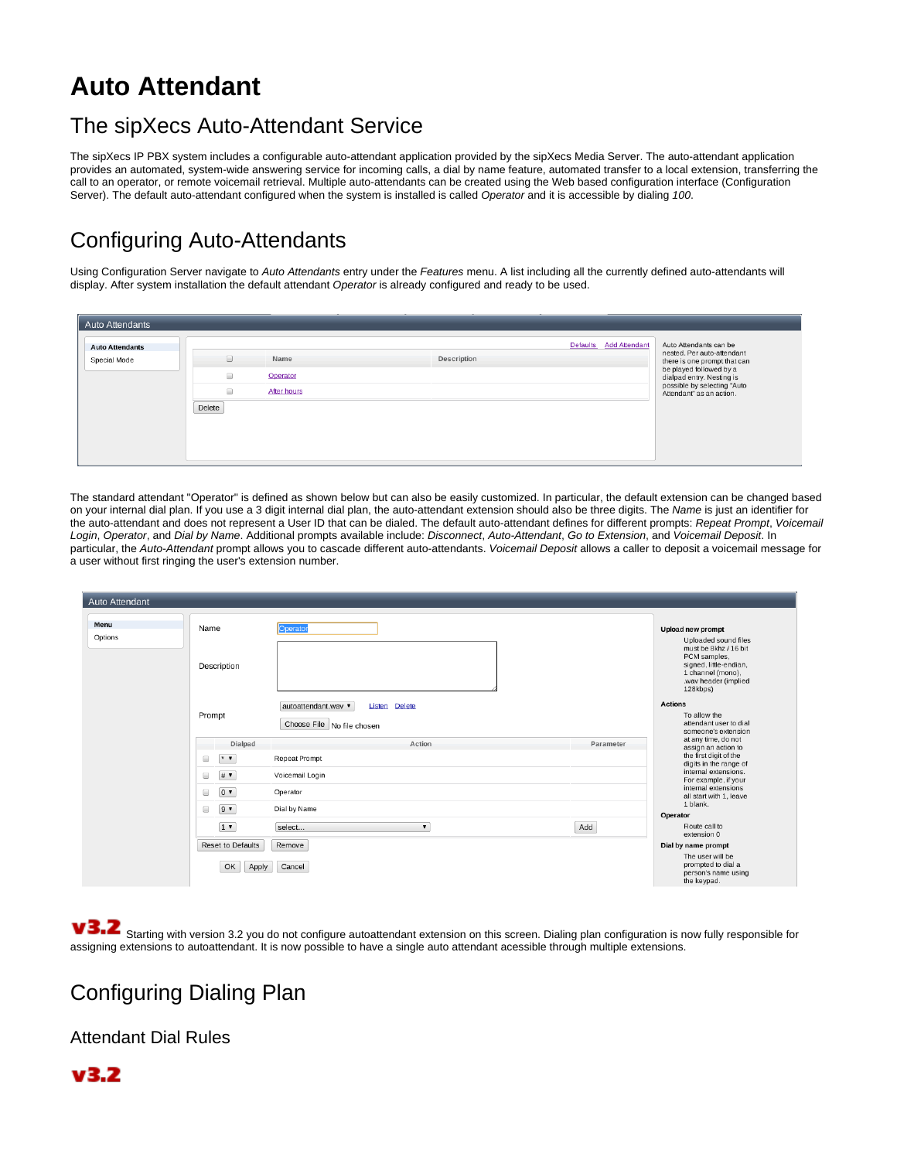# **Auto Attendant**

## The sipXecs Auto-Attendant Service

The sipXecs IP PBX system includes a configurable auto-attendant application provided by the sipXecs Media Server. The auto-attendant application provides an automated, system-wide answering service for incoming calls, a dial by name feature, automated transfer to a local extension, transferring the call to an operator, or remote voicemail retrieval. Multiple auto-attendants can be created using the Web based configuration interface (Configuration Server). The default auto-attendant configured when the system is installed is called Operator and it is accessible by dialing 100.

# Configuring Auto-Attendants

Using Configuration Server navigate to Auto Attendants entry under the Features menu. A list including all the currently defined auto-attendants will display. After system installation the default attendant Operator is already configured and ready to be used.

| <b>Auto Attendants</b>                 |                                                    |                                 |             |                        |                                                                                                                                                                                                         |
|----------------------------------------|----------------------------------------------------|---------------------------------|-------------|------------------------|---------------------------------------------------------------------------------------------------------------------------------------------------------------------------------------------------------|
| <b>Auto Attendants</b><br>Special Mode | $\Box$<br>$\Box$<br>$\qquad \qquad \Box$<br>Delete | Name<br>Operator<br>After hours | Description | Defaults Add Attendant | Auto Attendants can be<br>nested. Per auto-attendant<br>there is one prompt that can<br>be played followed by a<br>dialpad entry. Nesting is<br>possible by selecting "Auto<br>Attendant" as an action. |

The standard attendant "Operator" is defined as shown below but can also be easily customized. In particular, the default extension can be changed based on your internal dial plan. If you use a 3 digit internal dial plan, the auto-attendant extension should also be three digits. The Name is just an identifier for the auto-attendant and does not represent a User ID that can be dialed. The default auto-attendant defines for different prompts: Repeat Prompt, Voicemail Login, Operator, and Dial by Name. Additional prompts available include: Disconnect, Auto-Attendant, Go to Extension, and Voicemail Deposit. In particular, the Auto-Attendant prompt allows you to cascade different auto-attendants. Voicemail Deposit allows a caller to deposit a voicemail message for a user without first ringing the user's extension number.

| Auto Attendant  |                      |                          |                                           |           |                                                                                                                          |
|-----------------|----------------------|--------------------------|-------------------------------------------|-----------|--------------------------------------------------------------------------------------------------------------------------|
| Menu<br>Options | Name                 |                          | Operator                                  |           | <b>Upload new prompt</b><br>Uploaded sound files                                                                         |
|                 | Description          |                          |                                           |           | must be 8khz / 16 bit<br>PCM samples,<br>signed, little-endian,<br>1 channel (mono),<br>.wav header (implied<br>128kbps) |
|                 |                      |                          | autoattendant.wav<br><b>Listen Delete</b> |           | <b>Actions</b>                                                                                                           |
|                 | Prompt               |                          | Choose File   No file chosen              |           | To allow the<br>attendant user to dial<br>someone's extension                                                            |
|                 |                      | Dialpad                  | Action                                    | Parameter | at any time, do not<br>assign an action to                                                                               |
|                 | $\Box$               | $*$ $\bullet$            | <b>Repeat Prompt</b>                      |           | the first digit of the<br>digits in the range of                                                                         |
|                 | $\qquad \qquad \Box$ | # ▼                      | Voicemail Login                           |           | internal extensions.<br>For example, if your                                                                             |
|                 | $\Box$               | $0$ $\blacktriangledown$ | Operator                                  |           | internal extensions<br>all start with 1, leave                                                                           |
|                 | $\Box$               | $9 -$                    | Dial by Name                              |           | 1 blank.<br>Operator                                                                                                     |
|                 |                      | $1$ $\bullet$            | select<br>$\blacktriangledown$            | Add       | Route call to<br>extension 0                                                                                             |
|                 |                      | Reset to Defaults        | Remove                                    |           | Dial by name prompt                                                                                                      |
|                 |                      | OK<br>Apply              | Cancel                                    |           | The user will be<br>prompted to dial a<br>person's name using<br>the keypad.                                             |

V3.2 Starting with version 3.2 you do not configure autoattendant extension on this screen. Dialing plan configuration is now fully responsible for assigning extensions to autoattendant. It is now possible to have a single auto attendant acessible through multiple extensions.

## Configuring Dialing Plan

Attendant Dial Rules

## $v3.2$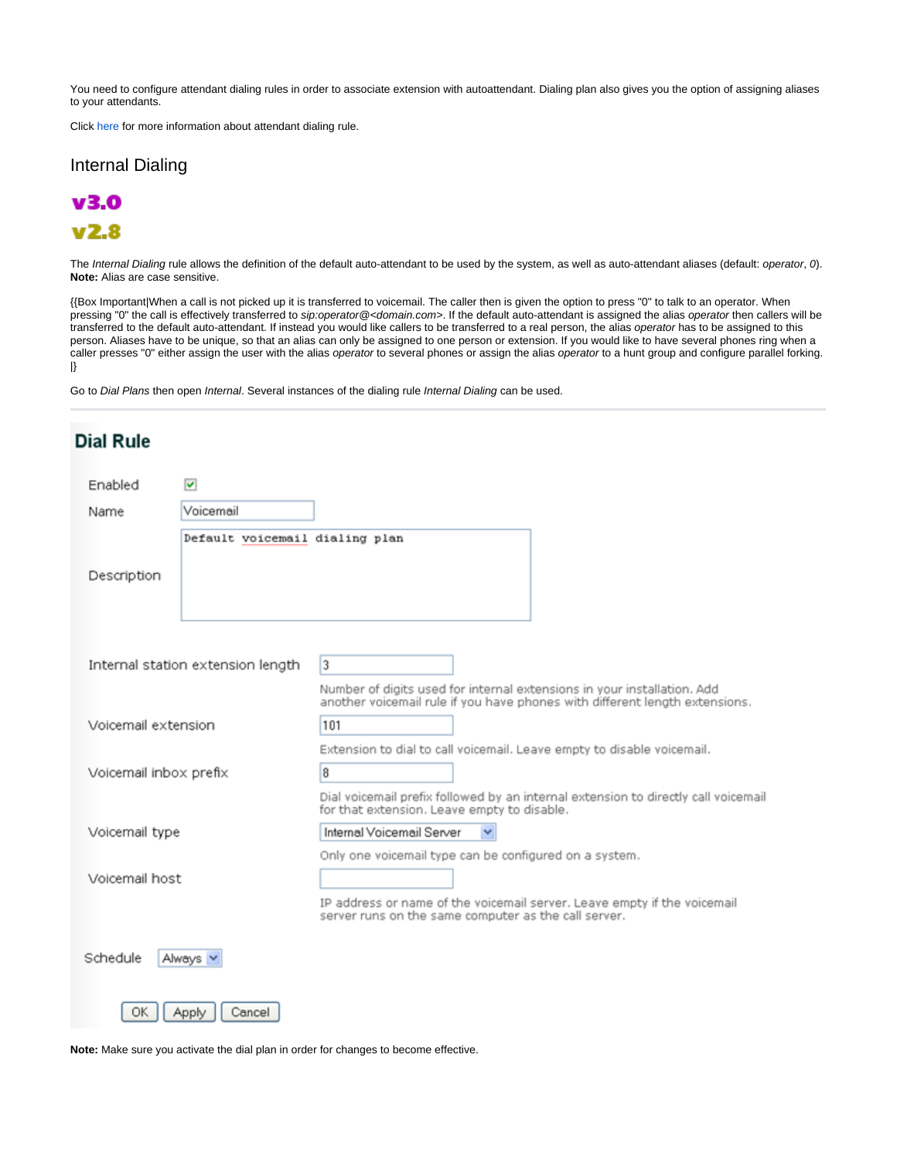You need to configure attendant dialing rules in order to associate extension with autoattendant. Dialing plan also gives you the option of assigning aliases to your attendants.

Click [here](https://wiki.ezuce.com/display/~xmlscott/How+to+configure+Dial+Plans#HowtoconfigureDialPlans-AutoAttendantDialingRule) for more information about attendant dialing rule.

#### Internal Dialing



 $V<sub>2.8</sub>$ 

The Internal Dialing rule allows the definition of the default auto-attendant to be used by the system, as well as auto-attendant aliases (default: operator, 0). **Note:** Alias are case sensitive.

{{Box Important|When a call is not picked up it is transferred to voicemail. The caller then is given the option to press "0" to talk to an operator. When pressing "0" the call is effectively transferred to sip:operator@<domain.com>. If the default auto-attendant is assigned the alias operator then callers will be transferred to the default auto-attendant. If instead you would like callers to be transferred to a real person, the alias operator has to be assigned to this person. Aliases have to be unique, so that an alias can only be assigned to one person or extension. If you would like to have several phones ring when a caller presses "0" either assign the user with the alias operator to several phones or assign the alias operator to a hunt group and configure parallel forking. |}

Go to Dial Plans then open Internal. Several instances of the dialing rule Internal Dialing can be used.

| <b>Dial Rule</b>       |                                   |                                                                                                                                                        |
|------------------------|-----------------------------------|--------------------------------------------------------------------------------------------------------------------------------------------------------|
| Enabled                | $\overline{\mathbf{v}}$           |                                                                                                                                                        |
| Name                   | Voicemail                         |                                                                                                                                                        |
|                        | Default voicemail dialing plan    |                                                                                                                                                        |
| Description            |                                   |                                                                                                                                                        |
|                        | Internal station extension length | 3                                                                                                                                                      |
|                        |                                   | Number of digits used for internal extensions in your installation. Add<br>another voicemail rule if you have phones with different length extensions. |
| Voicemail extension    |                                   | 101                                                                                                                                                    |
|                        |                                   | Extension to dial to call voicemail. Leave empty to disable voicemail.                                                                                 |
| Voicemail inbox prefix |                                   | 8<br>Dial voicemail prefix followed by an internal extension to directly call voicemail                                                                |
|                        |                                   | for that extension. Leave empty to disable.                                                                                                            |
| Voicemail type         |                                   | Internal Voicemail Server                                                                                                                              |
| Voicemail host         |                                   | Only one voicemail type can be configured on a system.                                                                                                 |
|                        |                                   | IP address or name of the voicemail server. Leave empty if the voicemail<br>server runs on the same computer as the call server.                       |
| Schedule               | Always '                          |                                                                                                                                                        |
| OK                     | Apply<br>Cancel                   |                                                                                                                                                        |

**Note:** Make sure you activate the dial plan in order for changes to become effective.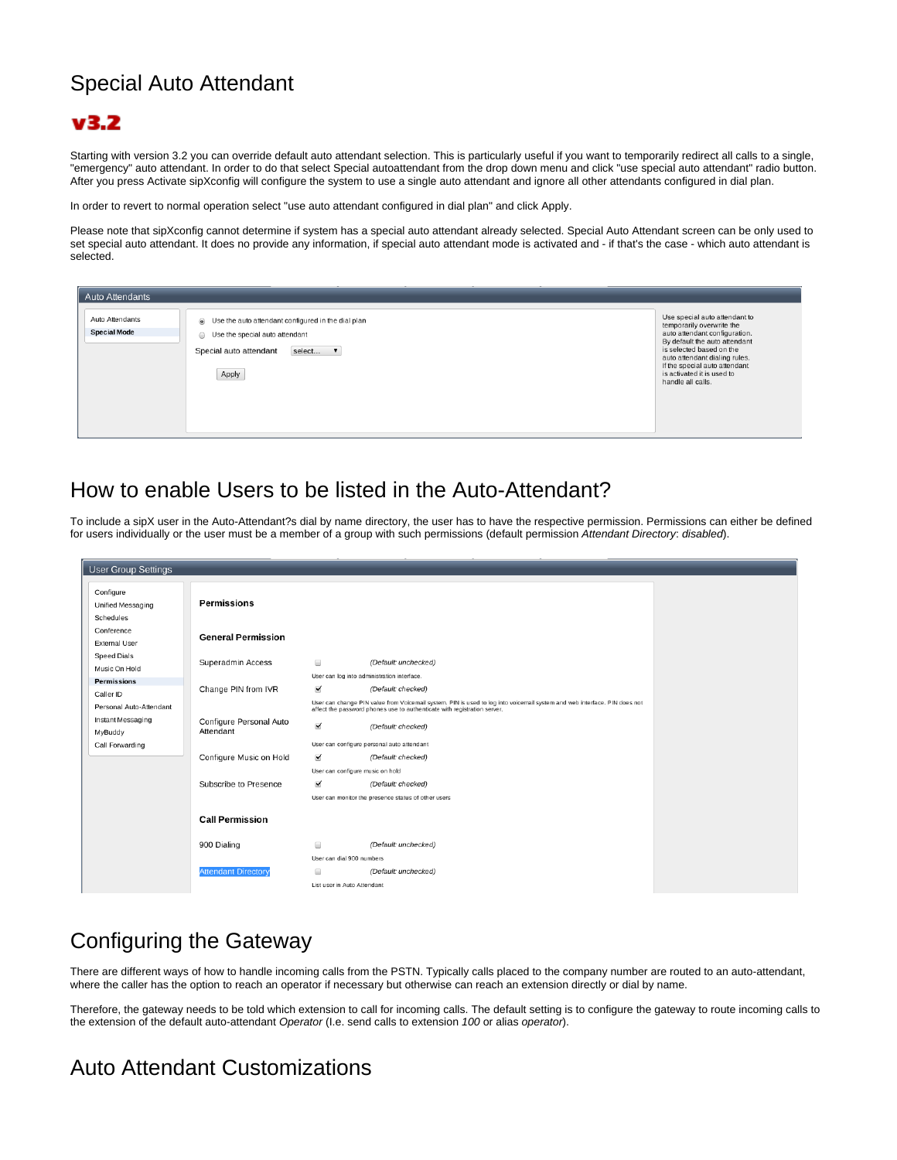## Special Auto Attendant

## $v3.2$

Starting with version 3.2 you can override default auto attendant selection. This is particularly useful if you want to temporarily redirect all calls to a single, "emergency" auto attendant. In order to do that select Special autoattendant from the drop down menu and click "use special auto attendant" radio button. After you press Activate sipXconfig will configure the system to use a single auto attendant and ignore all other attendants configured in dial plan.

In order to revert to normal operation select "use auto attendant configured in dial plan" and click Apply.

Please note that sipXconfig cannot determine if system has a special auto attendant already selected. Special Auto Attendant screen can be only used to set special auto attendant. It does no provide any information, if special auto attendant mode is activated and - if that's the case - which auto attendant is selected.

| <b>Auto Attendants</b>                 |                                                                                                                                         |                                                                                                                                                                                                                                                                               |
|----------------------------------------|-----------------------------------------------------------------------------------------------------------------------------------------|-------------------------------------------------------------------------------------------------------------------------------------------------------------------------------------------------------------------------------------------------------------------------------|
| Auto Attendants<br><b>Special Mode</b> | So Use the auto attendant configured in the dial plan<br>So Use the special auto attendant<br>select<br>Special auto attendant<br>Apply | Use special auto attendant to<br>temporarily overwrite the<br>auto attendant configuration.<br>By default the auto attendant<br>is selected based on the<br>auto attendant dialing rules.<br>If the special auto attendant<br>is activated it is used to<br>handle all calls. |

## How to enable Users to be listed in the Auto-Attendant?

To include a sipX user in the Auto-Attendant?s dial by name directory, the user has to have the respective permission. Permissions can either be defined for users individually or the user must be a member of a group with such permissions (default permission Attendant Directory: disabled).

| <b>User Group Settings</b>                              |                                      |                                                               |                                                                                                                                                 |
|---------------------------------------------------------|--------------------------------------|---------------------------------------------------------------|-------------------------------------------------------------------------------------------------------------------------------------------------|
| Configure<br>Unified Messaging<br>Schedules             | Permissions                          |                                                               |                                                                                                                                                 |
| Conference<br><b>External User</b>                      | <b>General Permission</b>            |                                                               |                                                                                                                                                 |
| <b>Speed Dials</b><br>Music On Hold                     | Superadmin Access                    | $\Box$                                                        | (Default: unchecked)<br>User can log into administration interface.                                                                             |
| <b>Permissions</b><br>Caller ID                         | Change PIN from IVR                  | $\checkmark$                                                  | (Default: checked)<br>User can change PIN value from Voicemail system. PIN is used to log into voicemail system and web interface. PIN does not |
| Personal Auto-Attendant<br>Instant Messaging<br>MyBuddy | Configure Personal Auto<br>Attendant | $\blacktriangledown$                                          | affect the password phones use to authenticate with registration server.<br>(Default: checked)                                                  |
| Call Forwarding                                         |                                      |                                                               | User can configure personal auto attendant                                                                                                      |
|                                                         | Configure Music on Hold              | $\checkmark$                                                  | (Default: checked)<br>User can configure music on hold                                                                                          |
|                                                         | Subscribe to Presence                | $\checkmark$                                                  | (Default: checked)<br>User can monitor the presence status of other users                                                                       |
|                                                         | <b>Call Permission</b>               |                                                               |                                                                                                                                                 |
|                                                         | 900 Dialing                          | $\qquad \qquad \Box$                                          | (Default: unchecked)                                                                                                                            |
|                                                         | <b>Attendant Directory</b>           | User can dial 900 numbers<br>≘<br>List user in Auto Attendant | (Default: unchecked)                                                                                                                            |

## Configuring the Gateway

There are different ways of how to handle incoming calls from the PSTN. Typically calls placed to the company number are routed to an auto-attendant, where the caller has the option to reach an operator if necessary but otherwise can reach an extension directly or dial by name.

Therefore, the gateway needs to be told which extension to call for incoming calls. The default setting is to configure the gateway to route incoming calls to the extension of the default auto-attendant Operator (I.e. send calls to extension 100 or alias operator).

## Auto Attendant Customizations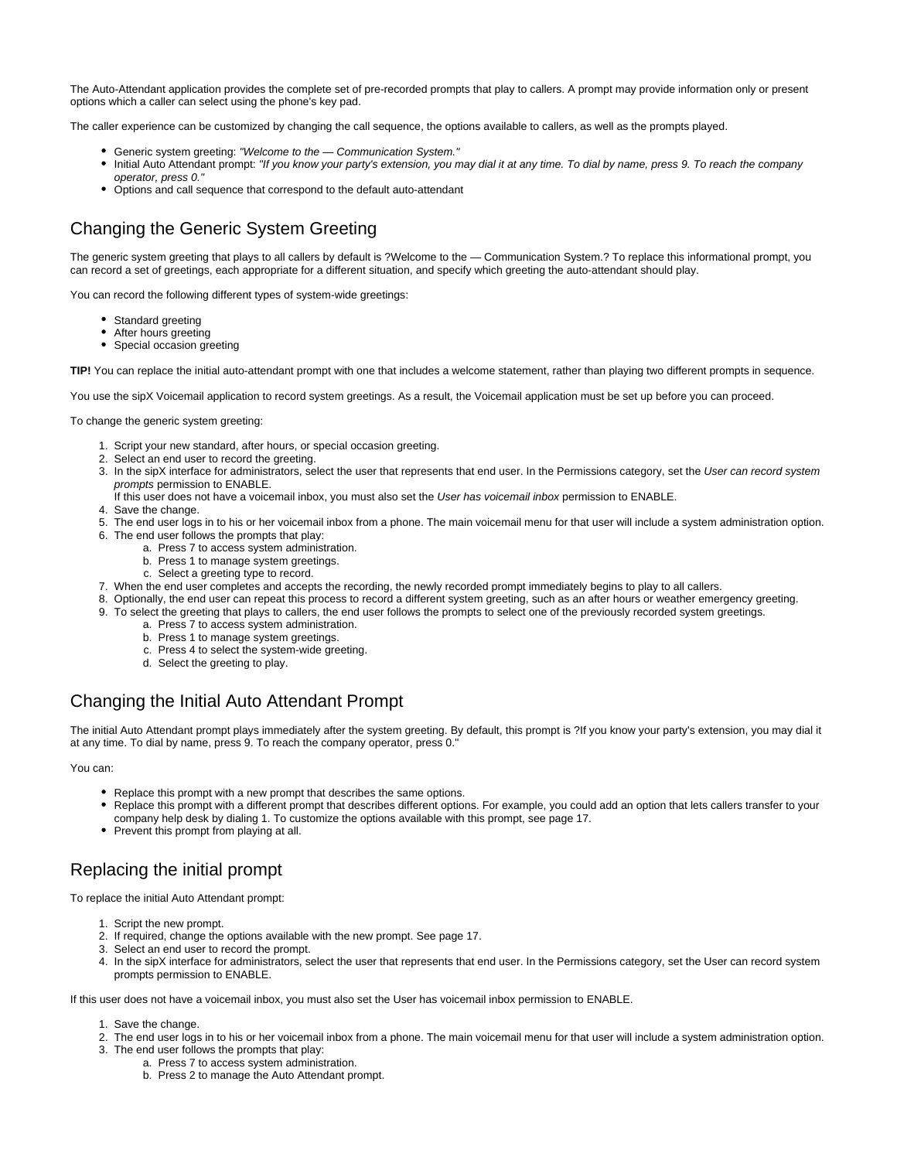The Auto-Attendant application provides the complete set of pre-recorded prompts that play to callers. A prompt may provide information only or present options which a caller can select using the phone's key pad.

The caller experience can be customized by changing the call sequence, the options available to callers, as well as the prompts played.

- Generic system greeting: "Welcome to the Communication System."
- Initial Auto Attendant prompt: "If you know your party's extension, you may dial it at any time. To dial by name, press 9. To reach the company operator, press 0."
- Options and call sequence that correspond to the default auto-attendant

## Changing the Generic System Greeting

The generic system greeting that plays to all callers by default is ?Welcome to the — Communication System.? To replace this informational prompt, you can record a set of greetings, each appropriate for a different situation, and specify which greeting the auto-attendant should play.

You can record the following different types of system-wide greetings:

- Standard greeting
- After hours greeting
- Special occasion greeting

**TIP!** You can replace the initial auto-attendant prompt with one that includes a welcome statement, rather than playing two different prompts in sequence.

You use the sipX Voicemail application to record system greetings. As a result, the Voicemail application must be set up before you can proceed.

To change the generic system greeting:

- 1. Script your new standard, after hours, or special occasion greeting.
- 2. Select an end user to record the greeting.
- 3. In the sipX interface for administrators, select the user that represents that end user. In the Permissions category, set the User can record system prompts permission to ENABLE.
	- If this user does not have a voicemail inbox, you must also set the User has voicemail inbox permission to ENABLE.
- 4. Save the change.
- 5. The end user logs in to his or her voicemail inbox from a phone. The main voicemail menu for that user will include a system administration option. 6. The end user follows the prompts that play:
	- a. Press 7 to access system administration.
		- b. Press 1 to manage system greetings.
		- c. Select a greeting type to record.
- 7. When the end user completes and accepts the recording, the newly recorded prompt immediately begins to play to all callers.
- 8. Optionally, the end user can repeat this process to record a different system greeting, such as an after hours or weather emergency greeting.
- 9. To select the greeting that plays to callers, the end user follows the prompts to select one of the previously recorded system greetings.
	- a. Press 7 to access system administration.
		- b. Press 1 to manage system greetings.
		- c. Press 4 to select the system-wide greeting.
		- d. Select the greeting to play.

#### Changing the Initial Auto Attendant Prompt

The initial Auto Attendant prompt plays immediately after the system greeting. By default, this prompt is ?If you know your party's extension, you may dial it at any time. To dial by name, press 9. To reach the company operator, press 0."

You can:

- Replace this prompt with a new prompt that describes the same options.
- Replace this prompt with a different prompt that describes different options. For example, you could add an option that lets callers transfer to your company help desk by dialing 1. To customize the options available with this prompt, see page 17.
- Prevent this prompt from playing at all.

## Replacing the initial prompt

To replace the initial Auto Attendant prompt:

- 1. Script the new prompt.
- 2. If required, change the options available with the new prompt. See page 17.
- 3. Select an end user to record the prompt.
- 4. In the sipX interface for administrators, select the user that represents that end user. In the Permissions category, set the User can record system prompts permission to ENABLE.

If this user does not have a voicemail inbox, you must also set the User has voicemail inbox permission to ENABLE.

- 1. Save the change.
- 2. The end user logs in to his or her voicemail inbox from a phone. The main voicemail menu for that user will include a system administration option.
- 3. The end user follows the prompts that play:
	- a. Press 7 to access system administration.
	- b. Press 2 to manage the Auto Attendant prompt.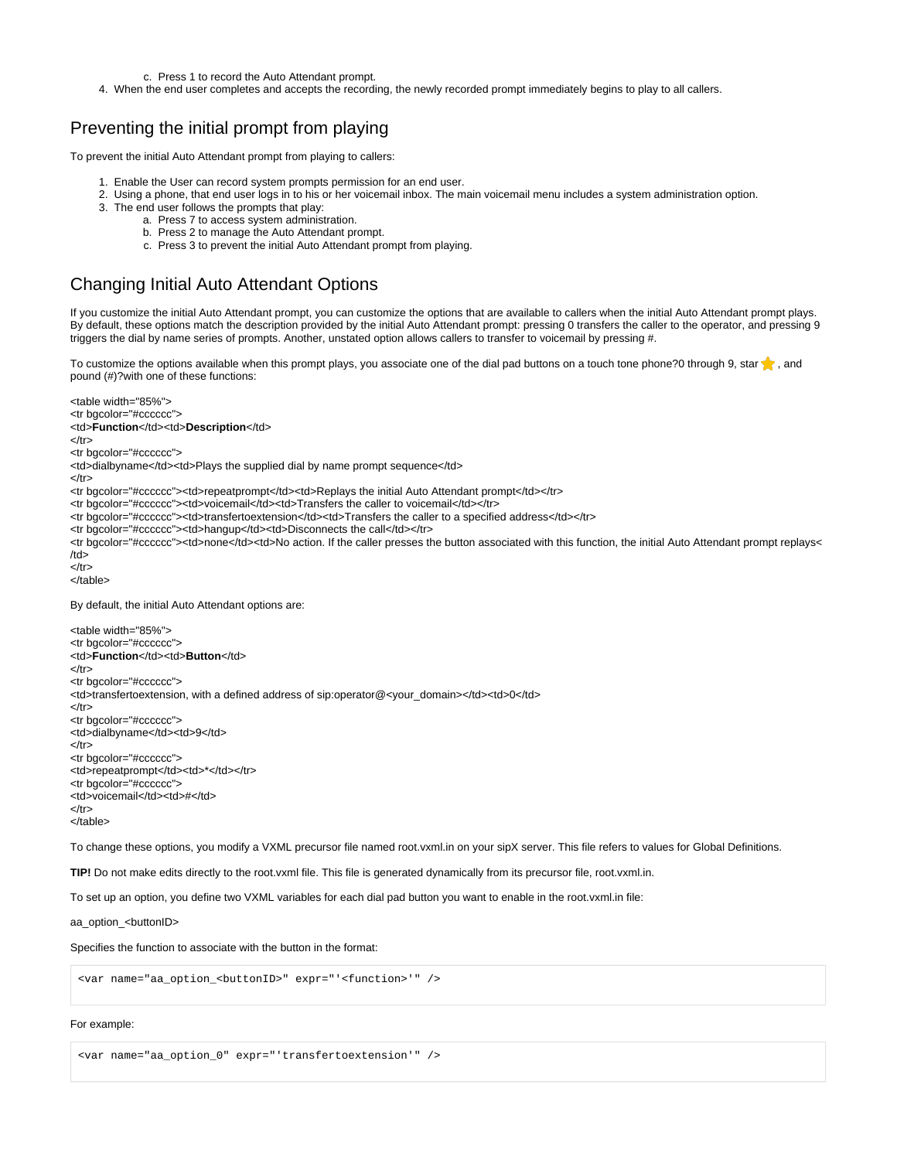c. Press 1 to record the Auto Attendant prompt.

4. When the end user completes and accepts the recording, the newly recorded prompt immediately begins to play to all callers.

#### Preventing the initial prompt from playing

To prevent the initial Auto Attendant prompt from playing to callers:

- 1. Enable the User can record system prompts permission for an end user.
- 2. Using a phone, that end user logs in to his or her voicemail inbox. The main voicemail menu includes a system administration option.
- 3. The end user follows the prompts that play:
	- a. Press 7 to access system administration.
		- b. Press 2 to manage the Auto Attendant prompt.
		- c. Press 3 to prevent the initial Auto Attendant prompt from playing.

### Changing Initial Auto Attendant Options

If you customize the initial Auto Attendant prompt, you can customize the options that are available to callers when the initial Auto Attendant prompt plays. By default, these options match the description provided by the initial Auto Attendant prompt: pressing 0 transfers the caller to the operator, and pressing 9 triggers the dial by name series of prompts. Another, unstated option allows callers to transfer to voicemail by pressing #.

To customize the options available when this prompt plays, you associate one of the dial pad buttons on a touch tone phone?0 through 9, star  $\uparrow$ , and pound (#)?with one of these functions:

<table width="85%"> <tr bgcolor="#cccccc"> <td>**Function**</td><td>**Description**</td>  $<$ /tr $>$ <tr bgcolor="#cccccc"> <td>dialbyname</td><td>Plays the supplied dial by name prompt sequence</td> </tr> <tr bgcolor="#cccccc"><td>repeatprompt</td><td>Replays the initial Auto Attendant prompt</td></tr> <tr bgcolor="#cccccc"><td>voicemail</td><td>Transfers the caller to voicemail</td></tr> <tr bgcolor="#cccccc"><td>transfertoextension</td><td>Transfers the caller to a specified address</td></tr> <tr bgcolor="#cccccc"><td>hangup</td><td>Disconnects the call</td></tr> <tr bgcolor="#cccccc"><td>none</td><td>No action. If the caller presses the button associated with this function, the initial Auto Attendant prompt replays<  $/td$ </tr> </table> By default, the initial Auto Attendant options are: <table width="85%"> <tr bgcolor="#cccccc"> <td>**Function**</td><td>**Button**</td>  $<$ /tr $>$ <tr bgcolor="#cccccc"> <td>transfertoextension, with a defined address of sip:operator@<your\_domain></td><td>0</td>  $<$ /tr $>$ <tr bgcolor="#cccccc"> <td>dialbyname</td><td>9</td>  $<$ /tr $>$ <tr bgcolor="#cccccc"> <td>repeatprompt</td><td>\*</td></tr> <tr bgcolor="#cccccc"> <td>voicemail</td><td>#</td>  $<$ /tr $>$ </table> To change these options, you modify a VXML precursor file named root.vxml.in on your sipX server. This file refers to values for Global Definitions.

**TIP!** Do not make edits directly to the root.vxml file. This file is generated dynamically from its precursor file, root.vxml.in.

To set up an option, you define two VXML variables for each dial pad button you want to enable in the root.vxml.in file:

aa\_option\_<br/>>buttonID>

Specifies the function to associate with the button in the format:

```
<var name="aa_option_<buttonID>" expr="'<function>'" />
```
#### For example:

<var name="aa\_option\_0" expr="'transfertoextension'" />